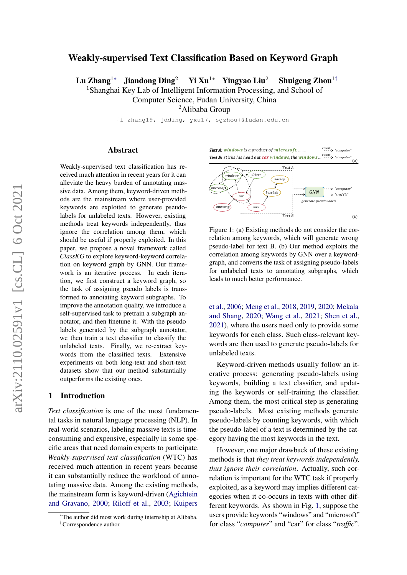# Weakly-supervised Text Classification Based on Keyword Graph

Lu Zhang<sup>1</sup>∗ Jiandong Ding<sup>2</sup> Yi Xu<sup>1</sup>\* Yingyao Liu<sup>2</sup> Shuigeng Zhou<sup>1†</sup>

<sup>1</sup>Shanghai Key Lab of Intelligent Information Processing, and School of

Computer Science, Fudan University, China

<sup>2</sup>Alibaba Group

{l\_zhang19, jdding, yxu17, sgzhou}@fudan.edu.cn

### Abstract

Weakly-supervised text classification has received much attention in recent years for it can alleviate the heavy burden of annotating massive data. Among them, keyword-driven methods are the mainstream where user-provided keywords are exploited to generate pseudolabels for unlabeled texts. However, existing methods treat keywords independently, thus ignore the correlation among them, which should be useful if properly exploited. In this paper, we propose a novel framework called *ClassKG* to explore keyword-keyword correlation on keyword graph by GNN. Our framework is an iterative process. In each iteration, we first construct a keyword graph, so the task of assigning pseudo labels is transformed to annotating keyword subgraphs. To improve the annotation quality, we introduce a self-supervised task to pretrain a subgraph annotator, and then finetune it. With the pseudo labels generated by the subgraph annotator, we then train a text classifier to classify the unlabeled texts. Finally, we re-extract keywords from the classified texts. Extensive experiments on both long-text and short-text datasets show that our method substantially outperforms the existing ones.

### 1 Introduction

*Text classification* is one of the most fundamental tasks in natural language processing (NLP). In real-world scenarios, labeling massive texts is timeconsuming and expensive, especially in some specific areas that need domain experts to participate. *Weakly-supervised text classification* (WTC) has received much attention in recent years because it can substantially reduce the workload of annotating massive data. Among the existing methods, the mainstream form is keyword-driven [\(Agichtein](#page-8-0) [and Gravano,](#page-8-0) [2000;](#page-8-0) [Riloff et al.,](#page-9-0) [2003;](#page-9-0) [Kuipers](#page-8-1)

<span id="page-0-0"></span>



Figure 1: (a) Existing methods do not consider the correlation among keywords, which will generate wrong pseudo-label for text B. (b) Our method exploits the correlation among keywords by GNN over a keywordgraph, and converts the task of assigning pseudo-labels for unlabeled texts to annotating subgraphs, which leads to much better performance.

[et al.,](#page-8-1) [2006;](#page-8-1) [Meng et al.,](#page-9-1) [2018,](#page-9-1) [2019,](#page-9-2) [2020;](#page-9-3) [Mekala](#page-9-4) [and Shang,](#page-9-4) [2020;](#page-9-4) [Wang et al.,](#page-9-5) [2021;](#page-9-5) [Shen et al.,](#page-9-6) [2021\)](#page-9-6), where the users need only to provide some keywords for each class. Such class-relevant keywords are then used to generate pseudo-labels for unlabeled texts.

Keyword-driven methods usually follow an iterative process: generating pseudo-labels using keywords, building a text classifier, and updating the keywords or self-training the classifier. Among them, the most critical step is generating pseudo-labels. Most existing methods generate pseudo-labels by counting keywords, with which the pseudo-label of a text is determined by the category having the most keywords in the text.

However, one major drawback of these existing methods is that *they treat keywords independently, thus ignore their correlation*. Actually, such correlation is important for the WTC task if properly exploited, as a keyword may implies different categories when it co-occurs in texts with other different keywords. As shown in Fig. [1,](#page-0-0) suppose the users provide keywords "windows" and "microsoft" for class "*computer*" and "car" for class "*traffic*".

<sup>∗</sup>[The author did most work during internship at Alibaba.](#page-8-1) †[Correspondence author](#page-8-1)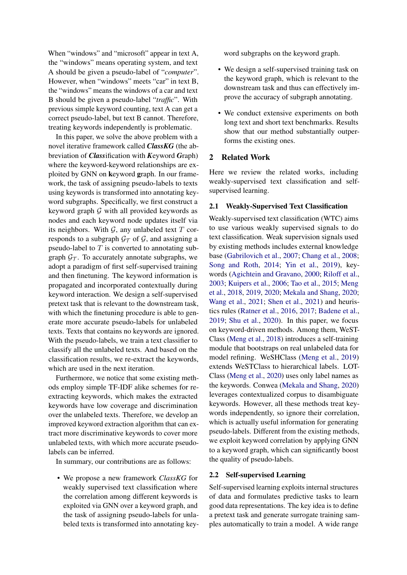When "windows" and "microsoft" appear in text A, the "windows" means operating system, and text A should be given a pseudo-label of "*computer*". However, when "windows" meets "car" in text B, the "windows" means the windows of a car and text B should be given a pseudo-label "*traffic*". With previous simple keyword counting, text A can get a correct pseudo-label, but text B cannot. Therefore, treating keywords independently is problematic.

In this paper, we solve the above problem with a novel iterative framework called *ClassKG* (the abbreviation of *Class*ification with *K*eyword *G*raph) where the keyword-keyword relationships are exploited by GNN on keyword graph. In our framework, the task of assigning pseudo-labels to texts using keywords is transformed into annotating keyword subgraphs. Specifically, we first construct a keyword graph  $G$  with all provided keywords as nodes and each keyword node updates itself via its neighbors. With  $G$ , any unlabeled text  $T$  corresponds to a subgraph  $\mathcal{G}_{\mathcal{T}}$  of  $\mathcal{G}$ , and assigning a pseudo-label to  $T$  is converted to annotating subgraph  $\mathcal{G}_{\mathcal{T}}$ . To accurately annotate subgraphs, we adopt a paradigm of first self-supervised training and then finetuning. The keyword information is propagated and incorporated contextually during keyword interaction. We design a self-supervised pretext task that is relevant to the downstream task, with which the finetuning procedure is able to generate more accurate pseudo-labels for unlabeled texts. Texts that contains no keywords are ignored. With the pseudo-labels, we train a text classifier to classify all the unlabeled texts. And based on the classification results, we re-extract the keywords, which are used in the next iteration.

Furthermore, we notice that some existing methods employ simple TF-IDF alike schemes for reextracting keywords, which makes the extracted keywords have low coverage and discrimination over the unlabeled texts. Therefore, we develop an improved keyword extraction algorithm that can extract more discriminative keywords to cover more unlabeled texts, with which more accurate pseudolabels can be inferred.

In summary, our contributions are as follows:

• We propose a new framework *ClassKG* for weakly supervised text classification where the correlation among different keywords is exploited via GNN over a keyword graph, and the task of assigning pseudo-labels for unlabeled texts is transformed into annotating keyword subgraphs on the keyword graph.

- We design a self-supervised training task on the keyword graph, which is relevant to the downstream task and thus can effectively improve the accuracy of subgraph annotating.
- We conduct extensive experiments on both long text and short text benchmarks. Results show that our method substantially outperforms the existing ones.

# 2 Related Work

Here we review the related works, including weakly-supervised text classification and selfsupervised learning.

# 2.1 Weakly-Supervised Text Classification

Weakly-supervised text classification (WTC) aims to use various weakly supervised signals to do text classification. Weak supervision signals used by existing methods includes external knowledge base [\(Gabrilovich et al.,](#page-8-2) [2007;](#page-8-2) [Chang et al.,](#page-8-3) [2008;](#page-8-3) [Song and Roth,](#page-9-7) [2014;](#page-9-7) [Yin et al.,](#page-10-0) [2019\)](#page-10-0), keywords [\(Agichtein and Gravano,](#page-8-0) [2000;](#page-8-0) [Riloff et al.,](#page-9-0) [2003;](#page-9-0) [Kuipers et al.,](#page-8-1) [2006;](#page-8-1) [Tao et al.,](#page-9-8) [2015;](#page-9-8) [Meng](#page-9-1) [et al.,](#page-9-1) [2018,](#page-9-1) [2019,](#page-9-2) [2020;](#page-9-3) [Mekala and Shang,](#page-9-4) [2020;](#page-9-4) [Wang et al.,](#page-9-5) [2021;](#page-9-5) [Shen et al.,](#page-9-6) [2021\)](#page-9-6) and heuristics rules [\(Ratner et al.,](#page-9-9) [2016,](#page-9-9) [2017;](#page-9-10) [Badene et al.,](#page-8-4) [2019;](#page-8-4) [Shu et al.,](#page-9-11) [2020\)](#page-9-11). In this paper, we focus on keyword-driven methods. Among them, WeST-Class [\(Meng et al.,](#page-9-1) [2018\)](#page-9-1) introduces a self-training module that bootstraps on real unlabeled data for model refining. WeSHClass [\(Meng et al.,](#page-9-2) [2019\)](#page-9-2) extends WeSTClass to hierarchical labels. LOT-Class [\(Meng et al.,](#page-9-3) [2020\)](#page-9-3) uses only label names as the keywords. Conwea [\(Mekala and Shang,](#page-9-4) [2020\)](#page-9-4) leverages contextualized corpus to disambiguate keywords. However, all these methods treat keywords independently, so ignore their correlation, which is actually useful information for generating pseudo-labels. Different from the existing methods, we exploit keyword correlation by applying GNN to a keyword graph, which can significantly boost the quality of pseudo-labels.

#### 2.2 Self-supervised Learning

Self-supervised learning exploits internal structures of data and formulates predictive tasks to learn good data representations. The key idea is to define a pretext task and generate surrogate training samples automatically to train a model. A wide range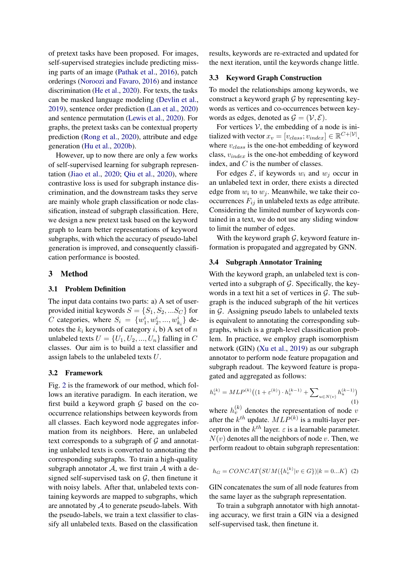of pretext tasks have been proposed. For images, self-supervised strategies include predicting missing parts of an image [\(Pathak et al.,](#page-9-12) [2016\)](#page-9-12), patch orderings [\(Noroozi and Favaro,](#page-9-13) [2016\)](#page-9-13) and instance discrimination [\(He et al.,](#page-8-5) [2020\)](#page-8-5). For texts, the tasks can be masked language modeling [\(Devlin et al.,](#page-8-6) [2019\)](#page-8-6), sentence order prediction [\(Lan et al.,](#page-8-7) [2020\)](#page-8-7) and sentence permutation [\(Lewis et al.,](#page-8-8) [2020\)](#page-8-8). For graphs, the pretext tasks can be contextual property prediction [\(Rong et al.,](#page-9-14) [2020\)](#page-9-14), attribute and edge generation [\(Hu et al.,](#page-8-9) [2020b\)](#page-8-9).

However, up to now there are only a few works of self-supervised learning for subgraph representation [\(Jiao et al.,](#page-8-10) [2020;](#page-8-10) [Qiu et al.,](#page-9-15) [2020\)](#page-9-15), where contrastive loss is used for subgraph instance discrimination, and the downstream tasks they serve are mainly whole graph classification or node classification, instead of subgraph classification. Here, we design a new pretext task based on the keyword graph to learn better representations of keyword subgraphs, with which the accuracy of pseudo-label generation is improved, and consequently classification performance is boosted.

#### 3 Method

# 3.1 Problem Definition

The input data contains two parts: a) A set of userprovided initial keywords  $S = \{S_1, S_2, ... S_C\}$  for *C* categories, where  $S_i = \{w_1^i, w_2^i, ..., w_{k_i}^i\}$  denotes the  $k_i$  keywords of category i, b) A set of n unlabeled texts  $U = \{U_1, U_2, ..., U_n\}$  falling in C classes. Our aim is to build a text classifier and assign labels to the unlabeled texts U.

#### 3.2 Framework

Fig. [2](#page-3-0) is the framework of our method, which follows an iterative paradigm. In each iteration, we first build a keyword graph  $G$  based on the cooccurrence relationships between keywords from all classes. Each keyword node aggregates information from its neighbors. Here, an unlabeled text corresponds to a subgraph of  $G$  and annotating unlabeled texts is converted to annotating the corresponding subgraphs. To train a high-quality subgraph annotator  $A$ , we first train  $A$  with a designed self-supervised task on  $G$ , then finetune it with noisy labels. After that, unlabeled texts containing keywords are mapped to subgraphs, which are annotated by  $A$  to generate pseudo-labels. With the pseudo-labels, we train a text classifier to classify all unlabeled texts. Based on the classification

results, keywords are re-extracted and updated for the next iteration, until the keywords change little.

## 3.3 Keyword Graph Construction

To model the relationships among keywords, we construct a keyword graph  $\mathcal G$  by representing keywords as vertices and co-occurrences between keywords as edges, denoted as  $\mathcal{G} = (\mathcal{V}, \mathcal{E})$ .

For vertices  $V$ , the embedding of a node is initialized with vector  $x_v = [v_{class}; v_{index}] \in \mathbb{R}^{C+|\mathcal{V}|},$ where  $v_{class}$  is the one-hot embedding of keyword class,  $v_{index}$  is the one-hot embedding of keyword index, and C is the number of classes.

For edges  $\mathcal{E}$ , if keywords  $w_i$  and  $w_j$  occur in an unlabeled text in order, there exists a directed edge from  $w_i$  to  $w_j$ . Meanwhile, we take their cooccurrences  $F_{ij}$  in unlabeled texts as edge attribute. Considering the limited number of keywords contained in a text, we do not use any sliding window to limit the number of edges.

With the keyword graph  $G$ , keyword feature information is propagated and aggregated by GNN.

#### 3.4 Subgraph Annotator Training

With the keyword graph, an unlabeled text is converted into a subgraph of  $G$ . Specifically, the keywords in a text hit a set of vertices in  $\mathcal{G}$ . The subgraph is the induced subgraph of the hit vertices in  $G$ . Assigning pseudo labels to unlabeled texts is equivalent to annotating the corresponding subgraphs, which is a graph-level classification problem. In practice, we employ graph isomorphism network (GIN) [\(Xu et al.,](#page-9-16) [2019\)](#page-9-16) as our subgraph annotator to perform node feature propagation and subgraph readout. The keyword feature is propagated and aggregated as follows:

$$
h_v^{(k)} = MLP^{(k)}((1 + \varepsilon^{(k)}) \cdot h_v^{(k-1)} + \sum_{u \in N(v)} h_u^{(k-1)})
$$
\n(1)

where  $h_v^{(k)}$  denotes the representation of node v after the  $k^{th}$  update.  $MLP^{(k)}$  is a multi-layer perceptron in the  $k^{th}$  layer.  $\varepsilon$  is a learnable parameter.  $N(v)$  denotes all the neighbors of node v. Then, we perform readout to obtain subgraph representation:

$$
h_G = CONCAT(SUM({h_v^{(k)}}|v \in G))|k = 0...K) (2)
$$

GIN concatenates the sum of all node features from the same layer as the subgraph representation.

To train a subgraph annotator with high annotating accuracy, we first train a GIN via a designed self-supervised task, then finetune it.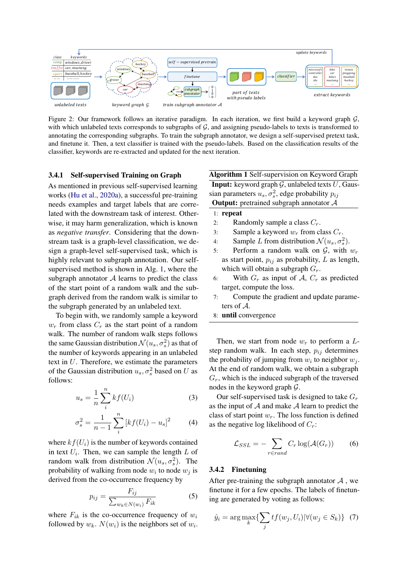<span id="page-3-0"></span>

Figure 2: Our framework follows an iterative paradigm. In each iteration, we first build a keyword graph  $G$ , with which unlabeled texts corresponds to subgraphs of  $G$ , and assigning pseudo-labels to texts is transformed to annotating the corresponding subgraphs. To train the subgraph annotator, we design a self-supervised pretext task, and finetune it. Then, a text classifier is trained with the pseudo-labels. Based on the classification results of the classifier, keywords are re-extracted and updated for the next iteration.

## 3.4.1 Self-supervised Training on Graph

As mentioned in previous self-supervised learning works [\(Hu et al.,](#page-8-11) [2020a\)](#page-8-11), a successful pre-training needs examples and target labels that are correlated with the downstream task of interest. Otherwise, it may harm generalization, which is known as *negative transfer*. Considering that the downstream task is a graph-level classification, we design a graph-level self-supervised task, which is highly relevant to subgraph annotation. Our selfsupervised method is shown in Alg. [1,](#page-3-1) where the subgraph annotator  $A$  learns to predict the class of the start point of a random walk and the subgraph derived from the random walk is similar to the subgraph generated by an unlabeled text.

To begin with, we randomly sample a keyword  $w_r$  from class  $C_r$  as the start point of a random walk. The number of random walk steps follows the same Gaussian distribution  $\mathcal{N}(u_s, \sigma_s^2)$  as that of the number of keywords appearing in an unlabeled text in U. Therefore, we estimate the parameters of the Gaussian distribution  $u_s$ ,  $\sigma_s^2$  based on U as follows:

$$
u_s = \frac{1}{n} \sum_{i}^{n} k f(U_i)
$$
 (3)

$$
\sigma_s^2 = \frac{1}{n-1} \sum_{i}^{n} \left[ kf(U_i) - u_s \right]^2 \tag{4}
$$

where  $kf(U_i)$  is the number of keywords contained in text  $U_i$ . Then, we can sample the length  $L$  of random walk from distribution  $\mathcal{N}(u_s, \sigma_s^2)$ . The probability of walking from node  $w_i$  to node  $w_j$  is derived from the co-occurrence frequency by

$$
p_{ij} = \frac{F_{ij}}{\sum_{w_k \in N(w_i)} F_{ik}} \tag{5}
$$

where  $F_{ik}$  is the co-occurrence frequency of  $w_i$ followed by  $w_k$ .  $N(w_i)$  is the neighbors set of  $w_i$ . <span id="page-3-1"></span>Algorithm 1 Self-supervision on Keyword Graph **Input:** keyword graph  $G$ , unlabeled texts  $U$ , Gaussian parameters  $u_s, \sigma_s^2$ , edge probability  $p_{ij}$ Output: pretrained subgraph annotator A

# 1: repeat

- 2: Randomly sample a class  $C_r$ .
- 3: Sample a keyword  $w_r$  from class  $C_r$ .
- 4: Sample L from distribution  $\mathcal{N}(u_s, \sigma_s^2)$ .
- 5: Perform a random walk on  $G$ , with  $w_r$ as start point,  $p_{ij}$  as probability, L as length, which will obtain a subgraph  $G_r$ .
- 6: With  $G_r$  as input of A,  $C_r$  as predicted target, compute the loss.
- 7: Compute the gradient and update parameters of A.
- 8: until convergence

Then, we start from node  $w_r$  to perform a Lstep random walk. In each step,  $p_{ij}$  determines the probability of jumping from  $w_i$  to neighbor  $w_j$ . At the end of random walk, we obtain a subgraph  $G_r$ , which is the induced subgraph of the traversed nodes in the keyword graph G.

Our self-supervised task is designed to take  $G_r$ as the input of  $A$  and make  $A$  learn to predict the class of start point  $w_r$ . The loss function is defined as the negative log likelihood of  $C_r$ :

$$
\mathcal{L}_{SSL} = -\sum_{r \in rand} C_r \log(\mathcal{A}(G_r)) \tag{6}
$$

# 3.4.2 Finetuning

After pre-training the subgraph annotator  $A$ , we finetune it for a few epochs. The labels of finetuning are generated by voting as follows:

$$
\hat{y}_i = \arg \max_k \{ \sum_j t f(w_j, U_i) | \forall (w_j \in S_k) \} \tag{7}
$$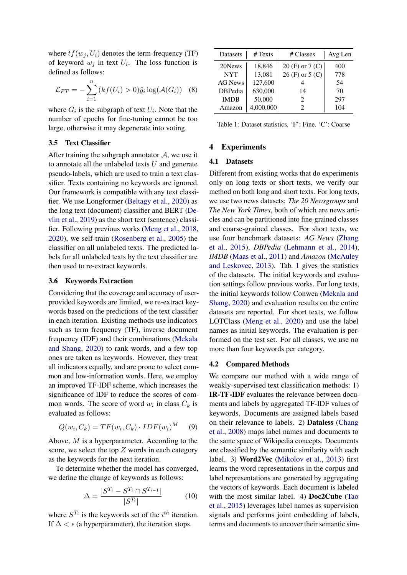where  $tf(w_i, U_i)$  denotes the term-frequency (TF) of keyword  $w_j$  in text  $U_i$ . The loss function is defined as follows:

$$
\mathcal{L}_{FT} = -\sum_{i=1}^{n} \left( kf(U_i) > 0 \right) \hat{y}_i \log(\mathcal{A}(G_i)) \quad (8)
$$

where  $G_i$  is the subgraph of text  $U_i$ . Note that the number of epochs for fine-tuning cannot be too large, otherwise it may degenerate into voting.

### 3.5 Text Classifier

After training the subgraph annotator  $A$ , we use it to annotate all the unlabeled texts  $U$  and generate pseudo-labels, which are used to train a text classifier. Texts containing no keywords are ignored. Our framework is compatible with any text classifier. We use Longformer [\(Beltagy et al.,](#page-8-12) [2020\)](#page-8-12) as the long text (document) classifier and BERT [\(De](#page-8-6)[vlin et al.,](#page-8-6) [2019\)](#page-8-6) as the short text (sentence) classifier. Following previous works [\(Meng et al.,](#page-9-1) [2018,](#page-9-1) [2020\)](#page-9-3), we self-train [\(Rosenberg et al.,](#page-9-17) [2005\)](#page-9-17) the classifier on all unlabeled texts. The predicted labels for all unlabeled texts by the text classifier are then used to re-extract keywords.

#### 3.6 Keywords Extraction

Considering that the coverage and accuracy of userprovided keywords are limited, we re-extract keywords based on the predictions of the text classifier in each iteration. Existing methods use indicators such as term frequency (TF), inverse document frequency (IDF) and their combinations [\(Mekala](#page-9-4) [and Shang,](#page-9-4) [2020\)](#page-9-4) to rank words, and a few top ones are taken as keywords. However, they treat all indicators equally, and are prone to select common and low-information words. Here, we employ an improved TF-IDF scheme, which increases the significance of IDF to reduce the scores of common words. The score of word  $w_i$  in class  $C_k$  is evaluated as follows:

<span id="page-4-1"></span>
$$
Q(w_i, C_k) = TF(w_i, C_k) \cdot IDF(w_i)^M \qquad (9)
$$

Above, M is a hyperparameter. According to the score, we select the top  $Z$  words in each category as the keywords for the next iteration.

To determine whether the model has converged, we define the change of keywords as follows:

$$
\Delta = \frac{|S^{T_i} - S^{T_i} \cap S^{T_{i-1}}|}{|S^{T_i}|} \tag{10}
$$

where  $S^{T_i}$  is the keywords set of the  $i^{th}$  iteration. If  $\Delta < \epsilon$  (a hyperparameter), the iteration stops.

<span id="page-4-0"></span>

| Datasets       | # Texts   | # Classes                   | Avg Len |
|----------------|-----------|-----------------------------|---------|
| 20News         | 18,846    | $20$ (F) or $7$ (C)         | 400     |
| <b>NYT</b>     | 13,081    | $26$ (F) or $5$ (C)         | 778     |
| <b>AG News</b> | 127,600   |                             | 54      |
| <b>DBPedia</b> | 630,000   | 14                          | 70      |
| <b>IMDB</b>    | 50,000    | $\mathcal{D}_{\mathcal{L}}$ | 297     |
| Amazon         | 4,000,000 | 2                           | 104     |

Table 1: Dataset statistics. 'F': Fine. 'C': Coarse

### 4 Experiments

# 4.1 Datasets

Different from existing works that do experiments only on long texts or short texts, we verify our method on both long and short texts. For long texts, we use two news datasets: *The 20 Newsgroups* and *The New York Times*, both of which are news articles and can be partitioned into fine-grained classes and coarse-grained classes. For short texts, we use four benchmark datasets: *AG News* [\(Zhang](#page-10-1) [et al.,](#page-10-1) [2015\)](#page-10-1), *DBPedia* [\(Lehmann et al.,](#page-8-13) [2014\)](#page-8-13), *IMDB* [\(Maas et al.,](#page-8-14) [2011\)](#page-8-14) and *Amazon* [\(McAuley](#page-8-15) [and Leskovec,](#page-8-15) [2013\)](#page-8-15). Tab. [1](#page-4-0) gives the statistics of the datasets. The initial keywords and evaluation settings follow previous works. For long texts, the initial keywords follow Conwea [\(Mekala and](#page-9-4) [Shang,](#page-9-4) [2020\)](#page-9-4) and evaluation results on the entire datasets are reported. For short texts, we follow LOTClass [\(Meng et al.,](#page-9-3) [2020\)](#page-9-3) and use the label names as initial keywords. The evaluation is performed on the test set. For all classes, we use no more than four keywords per category.

# 4.2 Compared Methods

We compare our method with a wide range of weakly-supervised text classification methods: 1) IR-TF-IDF evaluates the relevance between documents and labels by aggregated TF-IDF values of keywords. Documents are assigned labels based on their relevance to labels. 2) Dataless [\(Chang](#page-8-3) [et al.,](#page-8-3) [2008\)](#page-8-3) maps label names and documents to the same space of Wikipedia concepts. Documents are classified by the semantic similarity with each label. 3) Word2Vec [\(Mikolov et al.,](#page-9-18) [2013\)](#page-9-18) first learns the word representations in the corpus and label representations are generated by aggregating the vectors of keywords. Each document is labeled with the most similar label. 4) Doc2Cube [\(Tao](#page-9-8) [et al.,](#page-9-8) [2015\)](#page-9-8) leverages label names as supervision signals and performs joint embedding of labels, terms and documents to uncover their semantic sim-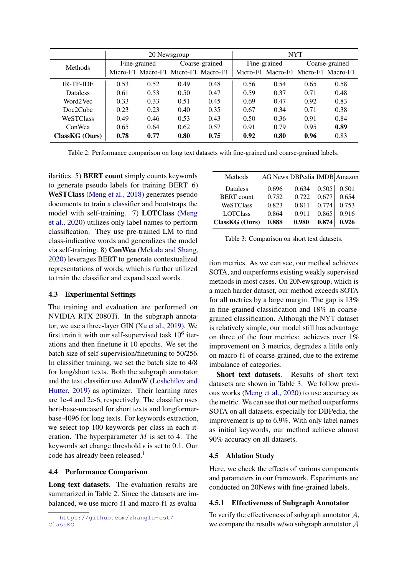<span id="page-5-1"></span>

|                  | 20 Newsgroup |                                     |      | <b>NYT</b>     |      |                                     |      |                |  |
|------------------|--------------|-------------------------------------|------|----------------|------|-------------------------------------|------|----------------|--|
| <b>Methods</b>   | Fine-grained |                                     |      | Coarse-grained |      | Fine-grained                        |      | Coarse-grained |  |
|                  |              | Micro-F1 Macro-F1 Micro-F1 Macro-F1 |      |                |      | Micro-F1 Macro-F1 Micro-F1 Macro-F1 |      |                |  |
| <b>IR-TF-IDF</b> | 0.53         | 0.52                                | 0.49 | 0.48           | 0.56 | 0.54                                | 0.65 | 0.58           |  |
| <b>Dataless</b>  | 0.61         | 0.53                                | 0.50 | 0.47           | 0.59 | 0.37                                | 0.71 | 0.48           |  |
| Word2Vec         | 0.33         | 0.33                                | 0.51 | 0.45           | 0.69 | 0.47                                | 0.92 | 0.83           |  |
| Doc2Cube         | 0.23         | 0.23                                | 0.40 | 0.35           | 0.67 | 0.34                                | 0.71 | 0.38           |  |
| WeSTClass        | 0.49         | 0.46                                | 0.53 | 0.43           | 0.50 | 0.36                                | 0.91 | 0.84           |  |
| ConWea           | 0.65         | 0.64                                | 0.62 | 0.57           | 0.91 | 0.79                                | 0.95 | 0.89           |  |
| ClassKG (Ours)   | 0.78         | 0.77                                | 0.80 | 0.75           | 0.92 | 0.80                                | 0.96 | 0.83           |  |

Table 2: Performance comparison on long text datasets with fine-grained and coarse-grained labels.

ilarities. 5) BERT count simply counts keywords to generate pseudo labels for training BERT. 6) WeSTClass [\(Meng et al.,](#page-9-1) [2018\)](#page-9-1) generates pseudo documents to train a classifier and bootstraps the model with self-training. 7) LOTClass [\(Meng](#page-9-3) [et al.,](#page-9-3) [2020\)](#page-9-3) utilizes only label names to perform classification. They use pre-trained LM to find class-indicative words and generalizes the model via self-training. 8) ConWea [\(Mekala and Shang,](#page-9-4) [2020\)](#page-9-4) leverages BERT to generate contextualized representations of words, which is further utilized to train the classifier and expand seed words.

### 4.3 Experimental Settings

The training and evaluation are performed on NVIDIA RTX 2080Ti. In the subgraph annotator, we use a three-layer GIN [\(Xu et al.,](#page-9-16) [2019\)](#page-9-16). We first train it with our self-supervised task  $10^6$  iterations and then finetune it 10 epochs. We set the batch size of self-supervision/finetuning to 50/256. In classifier training, we set the batch size to 4/8 for long/short texts. Both the subgraph annotator and the text classifier use AdamW [\(Loshchilov and](#page-8-16) [Hutter,](#page-8-16) [2019\)](#page-8-16) as optimizer. Their learning rates are 1e-4 and 2e-6, respectively. The classifier uses bert-base-uncased for short texts and longformerbase-4096 for long texts. For keywords extraction, we select top 100 keywords per class in each iteration. The hyperparameter M is set to 4. The keywords set change threshold  $\epsilon$  is set to 0.1. Our code has already been released.<sup>[1](#page-5-0)</sup>

# 4.4 Performance Comparison

Long text datasets. The evaluation results are summarized in Table [2.](#page-5-1) Since the datasets are imbalanced, we use micro-f1 and macro-f1 as evalua-

<span id="page-5-2"></span>

| Methods           | AG News DBPedia IMDB Amazon |       |       |       |
|-------------------|-----------------------------|-------|-------|-------|
| Dataless          | 0.696                       | 0.634 | 0.505 | 0.501 |
| <b>BERT</b> count | 0.752                       | 0.722 | 0.677 | 0.654 |
| WeSTClass         | 0.823                       | 0.811 | 0.774 | 0.753 |
| <b>LOTClass</b>   | 0.864                       | 0.911 | 0.865 | 0.916 |
| ClassKG (Ours)    | 0.888                       | 0.980 | 0.874 | 0.926 |

Table 3: Comparison on short text datasets.

tion metrics. As we can see, our method achieves SOTA, and outperforms existing weakly supervised methods in most cases. On 20Newsgroup, which is a much harder dataset, our method exceeds SOTA for all metrics by a large margin. The gap is 13% in fine-grained classification and 18% in coarsegrained classification. Although the NYT dataset is relatively simple, our model still has advantage on three of the four metrics: achieves over 1% improvement on 3 metrics, degrades a little only on macro-f1 of coarse-grained, due to the extreme imbalance of categories.

Short text datasets. Results of short text datasets are shown in Table [3.](#page-5-2) We follow previous works [\(Meng et al.,](#page-9-3) [2020\)](#page-9-3) to use accuracy as the metric. We can see that our method outperforms SOTA on all datasets, especially for DBPedia, the improvement is up to 6.9%. With only label names as initial keywords, our method achieve almost 90% accuracy on all datasets.

# 4.5 Ablation Study

Here, we check the effects of various components and parameters in our framework. Experiments are conducted on 20News with fine-grained labels.

### 4.5.1 Effectiveness of Subgraph Annotator

To verify the effectiveness of subgraph annotator  $A$ , we compare the results w/wo subgraph annotator A

<span id="page-5-0"></span><sup>1</sup>[https://github.com/zhanglu-cst/](https://github.com/zhanglu-cst/ClassKG) [ClassKG](https://github.com/zhanglu-cst/ClassKG)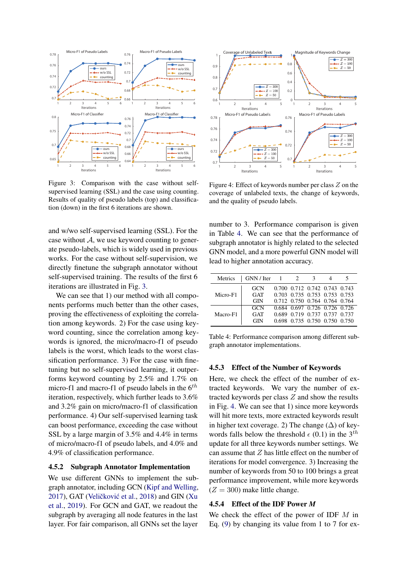<span id="page-6-0"></span>

Figure 3: Comparison with the case without selfsupervised learning (SSL) and the case using counting. Results of quality of pseudo labels (top) and classification (down) in the first 6 iterations are shown.

and w/wo self-supervised learning (SSL). For the case without  $A$ , we use keyword counting to generate pseudo-labels, which is widely used in previous works. For the case without self-supervision, we directly finetune the subgraph annotator without self-supervised training. The results of the first 6 iterations are illustrated in Fig. [3.](#page-6-0)

We can see that 1) our method with all components performs much better than the other cases, proving the effectiveness of exploiting the correlation among keywords. 2) For the case using keyword counting, since the correlation among keywords is ignored, the micro/macro-f1 of pseudo labels is the worst, which leads to the worst classification performance. 3) For the case with finetuning but no self-supervised learning, it outperforms keyword counting by 2.5% and 1.7% on micro-f1 and macro-f1 of pseudo labels in the  $6<sup>th</sup>$ iteration, respectively, which further leads to 3.6% and 3.2% gain on micro/macro-f1 of classification performance. 4) Our self-supervised learning task can boost performance, exceeding the case without SSL by a large margin of 3.5% and 4.4% in terms of micro/macro-f1 of pseudo labels, and 4.0% and 4.9% of classification performance.

# 4.5.2 Subgraph Annotator Implementation

We use different GNNs to implement the subgraph annotator, including GCN [\(Kipf and Welling,](#page-8-17) [2017\)](#page-8-17), GAT (Veličković et al., [2018\)](#page-9-19) and GIN [\(Xu](#page-9-16) [et al.,](#page-9-16) [2019\)](#page-9-16). For GCN and GAT, we readout the subgraph by averaging all node features in the last layer. For fair comparison, all GNNs set the layer

<span id="page-6-2"></span>

Figure 4: Effect of keywords number per class Z on the coverage of unlabeled texts, the change of keywords, and the quality of pseudo labels.

number to 3. Performance comparison is given in Table [4.](#page-6-1) We can see that the performance of subgraph annotator is highly related to the selected GNN model, and a more powerful GNN model will lead to higher annotation accuracy.

<span id="page-6-1"></span>

| Metrics  | $GNN/$ Iter 1 2 |  | 3                             |  |
|----------|-----------------|--|-------------------------------|--|
| Micro-F1 | GCN             |  | 0.700 0.712 0.742 0.743 0.743 |  |
|          | GAT             |  | 0.703 0.735 0.753 0.753 0.753 |  |
|          | <b>GIN</b>      |  | 0.712 0.750 0.764 0.764 0.764 |  |
| Macro-F1 | <b>GCN</b>      |  | 0.684 0.697 0.726 0.726 0.726 |  |
|          | GAT             |  | 0.689 0.719 0.737 0.737 0.737 |  |
|          | GIN             |  | 0.698 0.735 0.750 0.750 0.750 |  |

Table 4: Performance comparison among different subgraph annotator implementations.

### 4.5.3 Effect of the Number of Keywords

Here, we check the effect of the number of extracted keywords. We vary the number of extracted keywords per class Z and show the results in Fig. [4.](#page-6-2) We can see that 1) since more keywords will hit more texts, more extracted keywords result in higher text coverage. 2) The change  $(\Delta)$  of keywords falls below the threshold  $\epsilon$  (0.1) in the 3<sup>th</sup> update for all three keywords number settings. We can assume that  $Z$  has little effect on the number of iterations for model convergence. 3) Increasing the number of keywords from 50 to 100 brings a great performance improvement, while more keywords  $(Z = 300)$  make little change.

### 4.5.4 Effect of the IDF Power *M*

We check the effect of the power of IDF  $M$  in Eq. [\(9\)](#page-4-1) by changing its value from 1 to 7 for ex-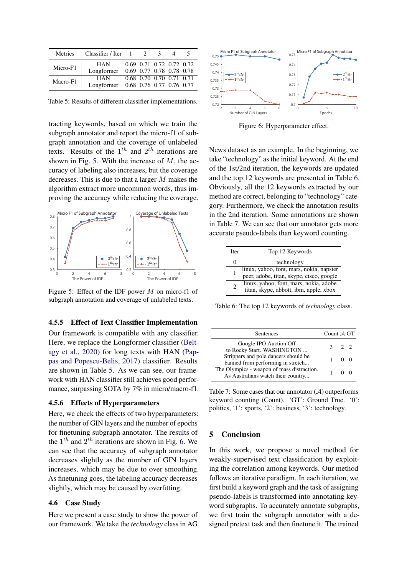<span id="page-7-1"></span>

|          | Metrics   Classifier / Iter 1 2     |  | 3                        |  |
|----------|-------------------------------------|--|--------------------------|--|
| Micro-F1 | <b>HAN</b>                          |  | 0.69 0.71 0.72 0.72 0.72 |  |
|          | Longformer 0.69 0.77 0.78 0.78 0.78 |  |                          |  |
| Macro-F1 | <b>HAN</b>                          |  | 0.68 0.70 0.70 0.71 0.71 |  |
|          | Longformer 0.68 0.76 0.77 0.76 0.77 |  |                          |  |

Table 5: Results of different classifier implementations.

tracting keywords, based on which we train the subgraph annotator and report the micro-f1 of subgraph annotation and the coverage of unlabeled texts. Results of the  $1^{th}$  and  $2^{th}$  iterations are shown in Fig. [5.](#page-7-0) With the increase of  $M$ , the accuracy of labeling also increases, but the coverage decreases. This is due to that a larger M makes the algorithm extract more uncommon words, thus improving the accuracy while reducing the coverage.

<span id="page-7-0"></span>

Figure 5: Effect of the IDF power M on micro-f1 of subgraph annotation and coverage of unlabeled texts.

### 4.5.5 Effect of Text Classifier Implementation

Our framework is compatible with any classifier. Here, we replace the Longformer classifier [\(Belt](#page-8-12)[agy et al.,](#page-8-12) [2020\)](#page-8-12) for long texts with HAN [\(Pap](#page-9-20)[pas and Popescu-Belis,](#page-9-20) [2017\)](#page-9-20) classifier. Results are shown in Table [5.](#page-7-1) As we can see, our framework with HAN classifier still achieves good performance, surpassing SOTA by 7% in micro/macro-f1.

## 4.5.6 Effects of Hyperparameters

Here, we check the effects of two hyperparameters: the number of GIN layers and the number of epochs for finetuning subgraph annotator. The results of the  $1^{th}$  and  $2^{th}$  iterations are shown in Fig. [6.](#page-7-2) We can see that the accuracy of subgraph annotator decreases slightly as the number of GIN layers increases, which may be due to over smoothing. As finetuning goes, the labeling accuracy decreases slightly, which may be caused by overfitting.

#### 4.6 Case Study

Here we present a case study to show the power of our framework. We take the *technology* class in AG

<span id="page-7-2"></span>

Figure 6: Hyperparameter effect.

News dataset as an example. In the beginning, we take "technology" as the initial keyword. At the end of the 1st/2nd iteration, the keywords are updated and the top 12 keywords are presented in Table [6.](#page-7-3) Obviously, all the 12 keywords extracted by our method are correct, belonging to "technology" category. Furthermore, we check the annotation results in the 2nd iteration. Some annotations are shown in Table [7.](#page-7-4) We can see that our annotator gets more accurate pseudo-labels than keyword counting.

<span id="page-7-3"></span>

| <b>Iter</b>   | Top 12 Keywords                                                                      |
|---------------|--------------------------------------------------------------------------------------|
|               | technology                                                                           |
|               | linux, yahoo, font, mars, nokia, napster<br>peer, adobe, titan, skype, cisco, google |
| $\mathcal{D}$ | linux, yahoo, font, mars, nokia, adobe<br>titan, skype, abbott, ibm, apple, xbox     |

Table 6: The top 12 keywords of *technology* class.

<span id="page-7-4"></span>

| <b>Sentences</b>                                                                 | Count $\mathcal A$ GT |             |  |
|----------------------------------------------------------------------------------|-----------------------|-------------|--|
| Google IPO Auction Off<br>to Rocky Start. WASHINGTON                             |                       | $3 \t2 \t2$ |  |
| Strippers and pole dancers should be<br>banned from performing in stretch        |                       | $\Omega$    |  |
| The Olympics - weapon of mass distraction.<br>As Australians watch their country |                       |             |  |

Table 7: Some cases that our annotator  $(A)$  outperforms keyword counting (Count). 'GT': Ground True. '0': politics, '1': sports, '2': business, '3': technology.

### 5 Conclusion

In this work, we propose a novel method for weakly-supervised text classification by exploiting the correlation among keywords. Our method follows an iterative paradigm. In each iteration, we first build a keyword graph and the task of assigning pseudo-labels is transformed into annotating keyword subgraphs. To accurately annotate subgraphs, we first train the subgraph annotator with a designed pretext task and then finetune it. The trained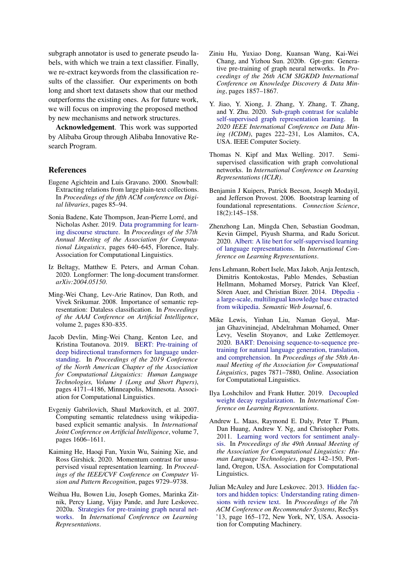subgraph annotator is used to generate pseudo labels, with which we train a text classifier. Finally, we re-extract keywords from the classification results of the classifier. Our experiments on both long and short text datasets show that our method outperforms the existing ones. As for future work, we will focus on improving the proposed method by new mechanisms and network structures.

Acknowledgement. This work was supported by Alibaba Group through Alibaba Innovative Research Program.

## References

- <span id="page-8-0"></span>Eugene Agichtein and Luis Gravano. 2000. Snowball: Extracting relations from large plain-text collections. In *Proceedings of the fifth ACM conference on Digital libraries*, pages 85–94.
- <span id="page-8-4"></span>Sonia Badene, Kate Thompson, Jean-Pierre Lorré, and Nicholas Asher. 2019. [Data programming for learn](https://doi.org/10.18653/v1/P19-1061)[ing discourse structure.](https://doi.org/10.18653/v1/P19-1061) In *Proceedings of the 57th Annual Meeting of the Association for Computational Linguistics*, pages 640–645, Florence, Italy. Association for Computational Linguistics.
- <span id="page-8-12"></span>Iz Beltagy, Matthew E. Peters, and Arman Cohan. 2020. Longformer: The long-document transformer. *arXiv:2004.05150*.
- <span id="page-8-3"></span>Ming-Wei Chang, Lev-Arie Ratinov, Dan Roth, and Vivek Srikumar. 2008. Importance of semantic representation: Dataless classification. In *Proceedings of the AAAI Conference on Artificial Intelligence*, volume 2, pages 830–835.
- <span id="page-8-6"></span>Jacob Devlin, Ming-Wei Chang, Kenton Lee, and Kristina Toutanova. 2019. [BERT: Pre-training of](https://doi.org/10.18653/v1/N19-1423) [deep bidirectional transformers for language under](https://doi.org/10.18653/v1/N19-1423)[standing.](https://doi.org/10.18653/v1/N19-1423) In *Proceedings of the 2019 Conference of the North American Chapter of the Association for Computational Linguistics: Human Language Technologies, Volume 1 (Long and Short Papers)*, pages 4171–4186, Minneapolis, Minnesota. Association for Computational Linguistics.
- <span id="page-8-2"></span>Evgeniy Gabrilovich, Shaul Markovitch, et al. 2007. Computing semantic relatedness using wikipediabased explicit semantic analysis. In *International Joint Conference on Artificial Intelligence*, volume 7, pages 1606–1611.
- <span id="page-8-5"></span>Kaiming He, Haoqi Fan, Yuxin Wu, Saining Xie, and Ross Girshick. 2020. Momentum contrast for unsupervised visual representation learning. In *Proceedings of the IEEE/CVF Conference on Computer Vision and Pattern Recognition*, pages 9729–9738.
- <span id="page-8-11"></span>Weihua Hu, Bowen Liu, Joseph Gomes, Marinka Zitnik, Percy Liang, Vijay Pande, and Jure Leskovec. 2020a. [Strategies for pre-training graph neural net](https://openreview.net/forum?id=HJlWWJSFDH)[works.](https://openreview.net/forum?id=HJlWWJSFDH) In *International Conference on Learning Representations*.
- <span id="page-8-9"></span>Ziniu Hu, Yuxiao Dong, Kuansan Wang, Kai-Wei Chang, and Yizhou Sun. 2020b. Gpt-gnn: Generative pre-training of graph neural networks. In *Proceedings of the 26th ACM SIGKDD International Conference on Knowledge Discovery & Data Mining*, pages 1857–1867.
- <span id="page-8-10"></span>Y. Jiao, Y. Xiong, J. Zhang, Y. Zhang, T. Zhang, and Y. Zhu. 2020. [Sub-graph contrast for scalable](https://doi.org/10.1109/ICDM50108.2020.00031) [self-supervised graph representation learning.](https://doi.org/10.1109/ICDM50108.2020.00031) In *2020 IEEE International Conference on Data Mining (ICDM)*, pages 222–231, Los Alamitos, CA, USA. IEEE Computer Society.
- <span id="page-8-17"></span>Thomas N. Kipf and Max Welling. 2017. Semisupervised classification with graph convolutional networks. In *International Conference on Learning Representations (ICLR)*.
- <span id="page-8-1"></span>Benjamin J Kuipers, Patrick Beeson, Joseph Modayil, and Jefferson Provost. 2006. Bootstrap learning of foundational representations. *Connection Science*, 18(2):145–158.
- <span id="page-8-7"></span>Zhenzhong Lan, Mingda Chen, Sebastian Goodman, Kevin Gimpel, Piyush Sharma, and Radu Soricut. 2020. [Albert: A lite bert for self-supervised learning](https://openreview.net/forum?id=H1eA7AEtvS) [of language representations.](https://openreview.net/forum?id=H1eA7AEtvS) In *International Conference on Learning Representations*.
- <span id="page-8-13"></span>Jens Lehmann, Robert Isele, Max Jakob, Anja Jentzsch, Dimitris Kontokostas, Pablo Mendes, Sebastian Hellmann, Mohamed Morsey, Patrick Van Kleef, Sören Auer, and Christian Bizer. 2014. [Dbpedia](https://doi.org/10.3233/SW-140134)  [a large-scale, multilingual knowledge base extracted](https://doi.org/10.3233/SW-140134) [from wikipedia.](https://doi.org/10.3233/SW-140134) *Semantic Web Journal*, 6.
- <span id="page-8-8"></span>Mike Lewis, Yinhan Liu, Naman Goyal, Marjan Ghazvininejad, Abdelrahman Mohamed, Omer Levy, Veselin Stoyanov, and Luke Zettlemoyer. 2020. [BART: Denoising sequence-to-sequence pre](https://doi.org/10.18653/v1/2020.acl-main.703)[training for natural language generation, translation,](https://doi.org/10.18653/v1/2020.acl-main.703) [and comprehension.](https://doi.org/10.18653/v1/2020.acl-main.703) In *Proceedings of the 58th Annual Meeting of the Association for Computational Linguistics*, pages 7871–7880, Online. Association for Computational Linguistics.
- <span id="page-8-16"></span>Ilya Loshchilov and Frank Hutter. 2019. [Decoupled](https://openreview.net/forum?id=Bkg6RiCqY7) [weight decay regularization.](https://openreview.net/forum?id=Bkg6RiCqY7) In *International Conference on Learning Representations*.
- <span id="page-8-14"></span>Andrew L. Maas, Raymond E. Daly, Peter T. Pham, Dan Huang, Andrew Y. Ng, and Christopher Potts. 2011. [Learning word vectors for sentiment analy](https://www.aclweb.org/anthology/P11-1015)[sis.](https://www.aclweb.org/anthology/P11-1015) In *Proceedings of the 49th Annual Meeting of the Association for Computational Linguistics: Human Language Technologies*, pages 142–150, Portland, Oregon, USA. Association for Computational Linguistics.
- <span id="page-8-15"></span>Julian McAuley and Jure Leskovec. 2013. [Hidden fac](https://doi.org/10.1145/2507157.2507163)[tors and hidden topics: Understanding rating dimen](https://doi.org/10.1145/2507157.2507163)[sions with review text.](https://doi.org/10.1145/2507157.2507163) In *Proceedings of the 7th ACM Conference on Recommender Systems*, RecSys '13, page 165–172, New York, NY, USA. Association for Computing Machinery.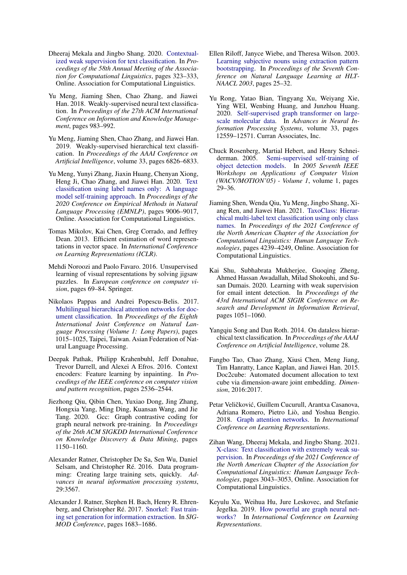- <span id="page-9-4"></span>Dheeraj Mekala and Jingbo Shang. 2020. [Contextual](https://doi.org/10.18653/v1/2020.acl-main.30)[ized weak supervision for text classification.](https://doi.org/10.18653/v1/2020.acl-main.30) In *Proceedings of the 58th Annual Meeting of the Association for Computational Linguistics*, pages 323–333, Online. Association for Computational Linguistics.
- <span id="page-9-1"></span>Yu Meng, Jiaming Shen, Chao Zhang, and Jiawei Han. 2018. Weakly-supervised neural text classification. In *Proceedings of the 27th ACM International Conference on Information and Knowledge Management*, pages 983–992.
- <span id="page-9-2"></span>Yu Meng, Jiaming Shen, Chao Zhang, and Jiawei Han. 2019. Weakly-supervised hierarchical text classification. In *Proceedings of the AAAI Conference on Artificial Intelligence*, volume 33, pages 6826–6833.
- <span id="page-9-3"></span>Yu Meng, Yunyi Zhang, Jiaxin Huang, Chenyan Xiong, Heng Ji, Chao Zhang, and Jiawei Han. 2020. [Text](https://doi.org/10.18653/v1/2020.emnlp-main.724) [classification using label names only: A language](https://doi.org/10.18653/v1/2020.emnlp-main.724) [model self-training approach.](https://doi.org/10.18653/v1/2020.emnlp-main.724) In *Proceedings of the 2020 Conference on Empirical Methods in Natural Language Processing (EMNLP)*, pages 9006–9017, Online. Association for Computational Linguistics.
- <span id="page-9-18"></span>Tomas Mikolov, Kai Chen, Greg Corrado, and Jeffrey Dean. 2013. Efficient estimation of word representations in vector space. In *International Conference on Learning Representations (ICLR)*.
- <span id="page-9-13"></span>Mehdi Noroozi and Paolo Favaro. 2016. Unsupervised learning of visual representations by solving jigsaw puzzles. In *European conference on computer vision*, pages 69–84. Springer.
- <span id="page-9-20"></span>Nikolaos Pappas and Andrei Popescu-Belis. 2017. [Multilingual hierarchical attention networks for doc](https://www.aclweb.org/anthology/I17-1102)[ument classification.](https://www.aclweb.org/anthology/I17-1102) In *Proceedings of the Eighth International Joint Conference on Natural Language Processing (Volume 1: Long Papers)*, pages 1015–1025, Taipei, Taiwan. Asian Federation of Natural Language Processing.
- <span id="page-9-12"></span>Deepak Pathak, Philipp Krahenbuhl, Jeff Donahue, Trevor Darrell, and Alexei A Efros. 2016. Context encoders: Feature learning by inpainting. In *Proceedings of the IEEE conference on computer vision and pattern recognition*, pages 2536–2544.
- <span id="page-9-15"></span>Jiezhong Qiu, Qibin Chen, Yuxiao Dong, Jing Zhang, Hongxia Yang, Ming Ding, Kuansan Wang, and Jie Tang. 2020. Gcc: Graph contrastive coding for graph neural network pre-training. In *Proceedings of the 26th ACM SIGKDD International Conference on Knowledge Discovery & Data Mining*, pages 1150–1160.
- <span id="page-9-9"></span>Alexander Ratner, Christopher De Sa, Sen Wu, Daniel Selsam, and Christopher Ré. 2016. Data programming: Creating large training sets, quickly. *Advances in neural information processing systems*, 29:3567.
- <span id="page-9-10"></span>Alexander J. Ratner, Stephen H. Bach, Henry R. Ehrenberg, and Christopher Ré. 2017. [Snorkel: Fast train](https://doi.org/10.1145/3035918.3056442)[ing set generation for information extraction.](https://doi.org/10.1145/3035918.3056442) In *SIG-MOD Conference*, pages 1683–1686.
- <span id="page-9-0"></span>Ellen Riloff, Janyce Wiebe, and Theresa Wilson. 2003. [Learning subjective nouns using extraction pattern](https://www.aclweb.org/anthology/W03-0404) [bootstrapping.](https://www.aclweb.org/anthology/W03-0404) In *Proceedings of the Seventh Conference on Natural Language Learning at HLT-NAACL 2003*, pages 25–32.
- <span id="page-9-14"></span>Yu Rong, Yatao Bian, Tingyang Xu, Weiyang Xie, Ying WEI, Wenbing Huang, and Junzhou Huang. 2020. [Self-supervised graph transformer on large](https://proceedings.neurips.cc/paper/2020/file/94aef38441efa3380a3bed3faf1f9d5d-Paper.pdf)[scale molecular data.](https://proceedings.neurips.cc/paper/2020/file/94aef38441efa3380a3bed3faf1f9d5d-Paper.pdf) In *Advances in Neural Information Processing Systems*, volume 33, pages 12559–12571. Curran Associates, Inc.
- <span id="page-9-17"></span>Chuck Rosenberg, Martial Hebert, and Henry Schneiderman. 2005. [Semi-supervised self-training of](https://doi.org/10.1109/ACVMOT.2005.107) [object detection models.](https://doi.org/10.1109/ACVMOT.2005.107) In *2005 Seventh IEEE Workshops on Applications of Computer Vision (WACV/MOTION'05) - Volume 1*, volume 1, pages 29–36.
- <span id="page-9-6"></span>Jiaming Shen, Wenda Qiu, Yu Meng, Jingbo Shang, Xiang Ren, and Jiawei Han. 2021. [TaxoClass: Hierar](https://doi.org/10.18653/v1/2021.naacl-main.335)[chical multi-label text classification using only class](https://doi.org/10.18653/v1/2021.naacl-main.335) [names.](https://doi.org/10.18653/v1/2021.naacl-main.335) In *Proceedings of the 2021 Conference of the North American Chapter of the Association for Computational Linguistics: Human Language Technologies*, pages 4239–4249, Online. Association for Computational Linguistics.
- <span id="page-9-11"></span>Kai Shu, Subhabrata Mukheriee, Guoging Zheng, Ahmed Hassan Awadallah, Milad Shokouhi, and Susan Dumais. 2020. Learning with weak supervision for email intent detection. In *Proceedings of the 43rd International ACM SIGIR Conference on Research and Development in Information Retrieval*, pages 1051–1060.
- <span id="page-9-7"></span>Yangqiu Song and Dan Roth. 2014. On dataless hierarchical text classification. In *Proceedings of the AAAI Conference on Artificial Intelligence*, volume 28.
- <span id="page-9-8"></span>Fangbo Tao, Chao Zhang, Xiusi Chen, Meng Jiang, Tim Hanratty, Lance Kaplan, and Jiawei Han. 2015. Doc2cube: Automated document allocation to text cube via dimension-aware joint embedding. *Dimension*, 2016:2017.
- <span id="page-9-19"></span>Petar Veličković, Guillem Cucurull, Arantxa Casanova, Adriana Romero, Pietro Liò, and Yoshua Bengio. 2018. [Graph attention networks.](https://openreview.net/forum?id=rJXMpikCZ) In *International Conference on Learning Representations*.
- <span id="page-9-5"></span>Zihan Wang, Dheeraj Mekala, and Jingbo Shang. 2021. [X-class: Text classification with extremely weak su](https://doi.org/10.18653/v1/2021.naacl-main.242)[pervision.](https://doi.org/10.18653/v1/2021.naacl-main.242) In *Proceedings of the 2021 Conference of the North American Chapter of the Association for Computational Linguistics: Human Language Technologies*, pages 3043–3053, Online. Association for Computational Linguistics.
- <span id="page-9-16"></span>Keyulu Xu, Weihua Hu, Jure Leskovec, and Stefanie Jegelka. 2019. [How powerful are graph neural net](https://openreview.net/forum?id=ryGs6iA5Km)[works?](https://openreview.net/forum?id=ryGs6iA5Km) In *International Conference on Learning Representations*.